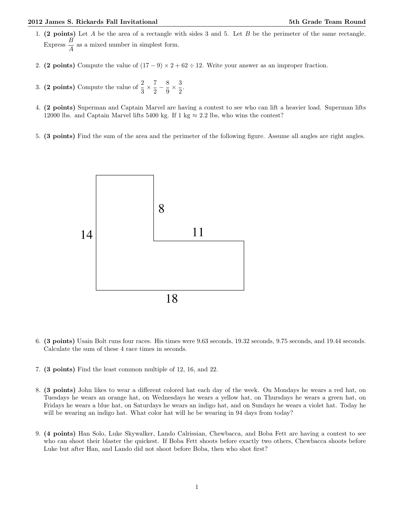- 1. (2 points) Let A be the area of a rectangle with sides 3 and 5. Let B be the perimeter of the same rectangle. Express  $\frac{B}{A}$  as a mixed number in simplest form.
- 2. (2 points) Compute the value of  $(17-9) \times 2+62 \div 12$ . Write your answer as an improper fraction.
- 3. (2 points) Compute the value of  $\frac{2}{3} \times \frac{7}{2}$  $\frac{7}{2} - \frac{8}{9}$  $\frac{8}{9} \times \frac{3}{2}$  $\frac{5}{2}$ .
- 4. (2 points) Superman and Captain Marvel are having a contest to see who can lift a heavier load. Superman lifts 12000 lbs. and Captain Marvel lifts 5400 kg. If 1 kg  $\approx 2.2$  lbs, who wins the contest?
- 5. (3 points) Find the sum of the area and the perimeter of the following figure. Assume all angles are right angles.



- 6. (3 points) Usain Bolt runs four races. His times were 9.63 seconds, 19.32 seconds, 9.75 seconds, and 19.44 seconds. Calculate the sum of these 4 race times in seconds.
- 7. (3 points) Find the least common multiple of 12, 16, and 22.
- 8. (3 points) John likes to wear a different colored hat each day of the week. On Mondays he wears a red hat, on Tuesdays he wears an orange hat, on Wednesdays he wears a yellow hat, on Thursdays he wears a green hat, on Fridays he wears a blue hat, on Saturdays he wears an indigo hat, and on Sundays he wears a violet hat. Today he will be wearing an indigo hat. What color hat will he be wearing in 94 days from today?
- 9. (4 points) Han Solo, Luke Skywalker, Lando Calrissian, Chewbacca, and Boba Fett are having a contest to see who can shoot their blaster the quickest. If Boba Fett shoots before exactly two others, Chewbacca shoots before Luke but after Han, and Lando did not shoot before Boba, then who shot first?